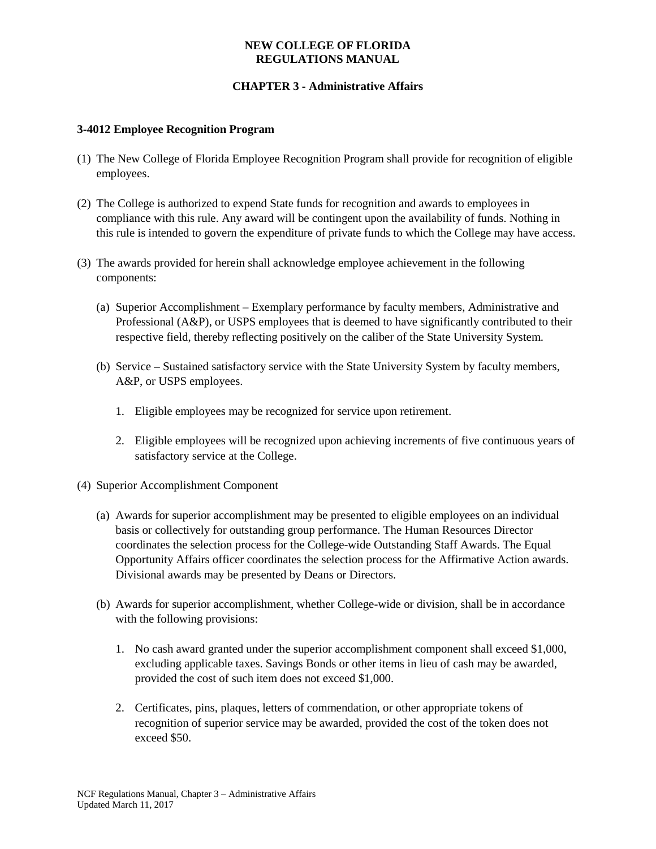## **NEW COLLEGE OF FLORIDA REGULATIONS MANUAL**

# **CHAPTER 3 - Administrative Affairs**

## **3-4012 Employee Recognition Program**

- (1) The New College of Florida Employee Recognition Program shall provide for recognition of eligible employees.
- (2) The College is authorized to expend State funds for recognition and awards to employees in compliance with this rule. Any award will be contingent upon the availability of funds. Nothing in this rule is intended to govern the expenditure of private funds to which the College may have access.
- (3) The awards provided for herein shall acknowledge employee achievement in the following components:
	- (a) Superior Accomplishment Exemplary performance by faculty members, Administrative and Professional (A&P), or USPS employees that is deemed to have significantly contributed to their respective field, thereby reflecting positively on the caliber of the State University System.
	- (b) Service Sustained satisfactory service with the State University System by faculty members, A&P, or USPS employees.
		- 1. Eligible employees may be recognized for service upon retirement.
		- 2. Eligible employees will be recognized upon achieving increments of five continuous years of satisfactory service at the College.
- (4) Superior Accomplishment Component
	- (a) Awards for superior accomplishment may be presented to eligible employees on an individual basis or collectively for outstanding group performance. The Human Resources Director coordinates the selection process for the College-wide Outstanding Staff Awards. The Equal Opportunity Affairs officer coordinates the selection process for the Affirmative Action awards. Divisional awards may be presented by Deans or Directors.
	- (b) Awards for superior accomplishment, whether College-wide or division, shall be in accordance with the following provisions:
		- 1. No cash award granted under the superior accomplishment component shall exceed \$1,000, excluding applicable taxes. Savings Bonds or other items in lieu of cash may be awarded, provided the cost of such item does not exceed \$1,000.
		- 2. Certificates, pins, plaques, letters of commendation, or other appropriate tokens of recognition of superior service may be awarded, provided the cost of the token does not exceed \$50.